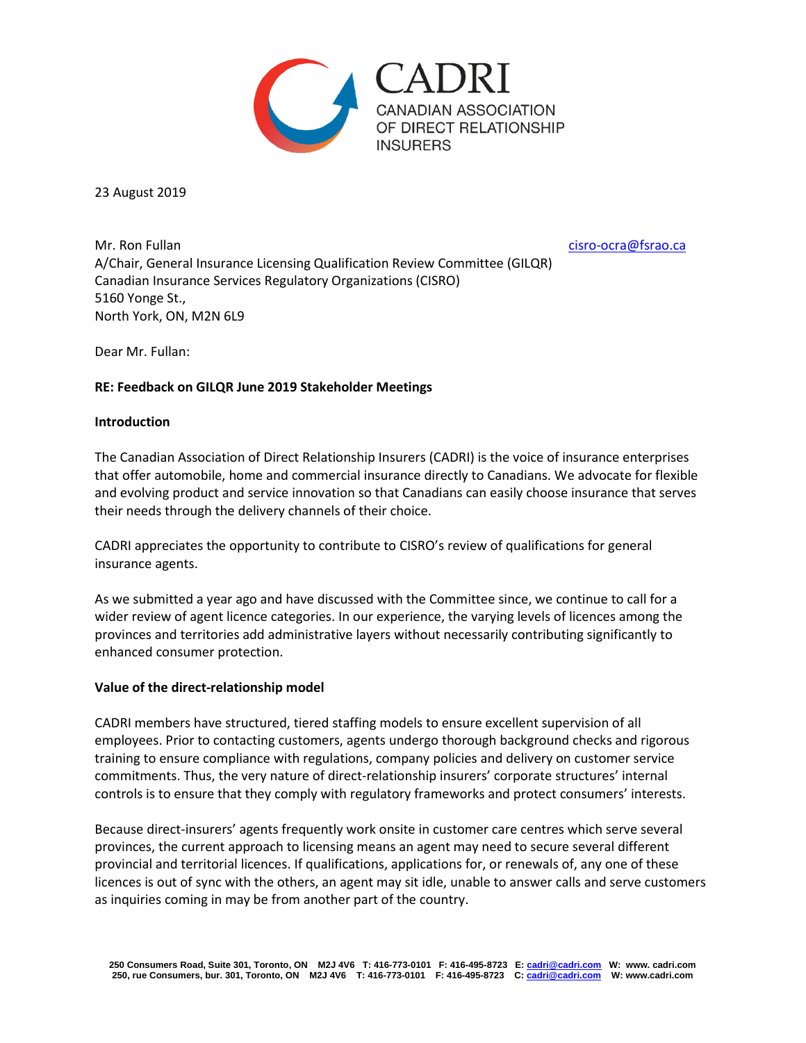

23 August 2019

Mr. Ron Fullan citation and the citation of the citation of the citation of the citation of the citation of the citation of the citation of the citation of the citation of the citation of the citation of the citation of th A/Chair, General Insurance Licensing Qualification Review Committee (GILQR) Canadian Insurance Services Regulatory Organizations (CISRO) 5160 Yonge St., North York, ON, M2N 6L9

Dear Mr. Fullan:

### **RE: Feedback on GILQR June 2019 Stakeholder Meetings**

#### **Introduction**

The Canadian Association of Direct Relationship Insurers (CADRI) is the voice of insurance enterprises that offer automobile, home and commercial insurance directly to Canadians. We advocate for flexible and evolving product and service innovation so that Canadians can easily choose insurance that serves their needs through the delivery channels of their choice.

CADRI appreciates the opportunity to contribute to CISRO's review of qualifications for general insurance agents.

As we submitted a year ago and have discussed with the Committee since, we continue to call for a wider review of agent licence categories. In our experience, the varying levels of licences among the provinces and territories add administrative layers without necessarily contributing significantly to enhanced consumer protection.

#### **Value of the direct-relationship model**

CADRI members have structured, tiered staffing models to ensure excellent supervision of all employees. Prior to contacting customers, agents undergo thorough background checks and rigorous training to ensure compliance with regulations, company policies and delivery on customer service commitments. Thus, the very nature of direct-relationship insurers' corporate structures' internal controls is to ensure that they comply with regulatory frameworks and protect consumers' interests.

Because direct-insurers' agents frequently work onsite in customer care centres which serve several provinces, the current approach to licensing means an agent may need to secure several different provincial and territorial licences. If qualifications, applications for, or renewals of, any one of these licences is out of sync with the others, an agent may sit idle, unable to answer calls and serve customers as inquiries coming in may be from another part of the country.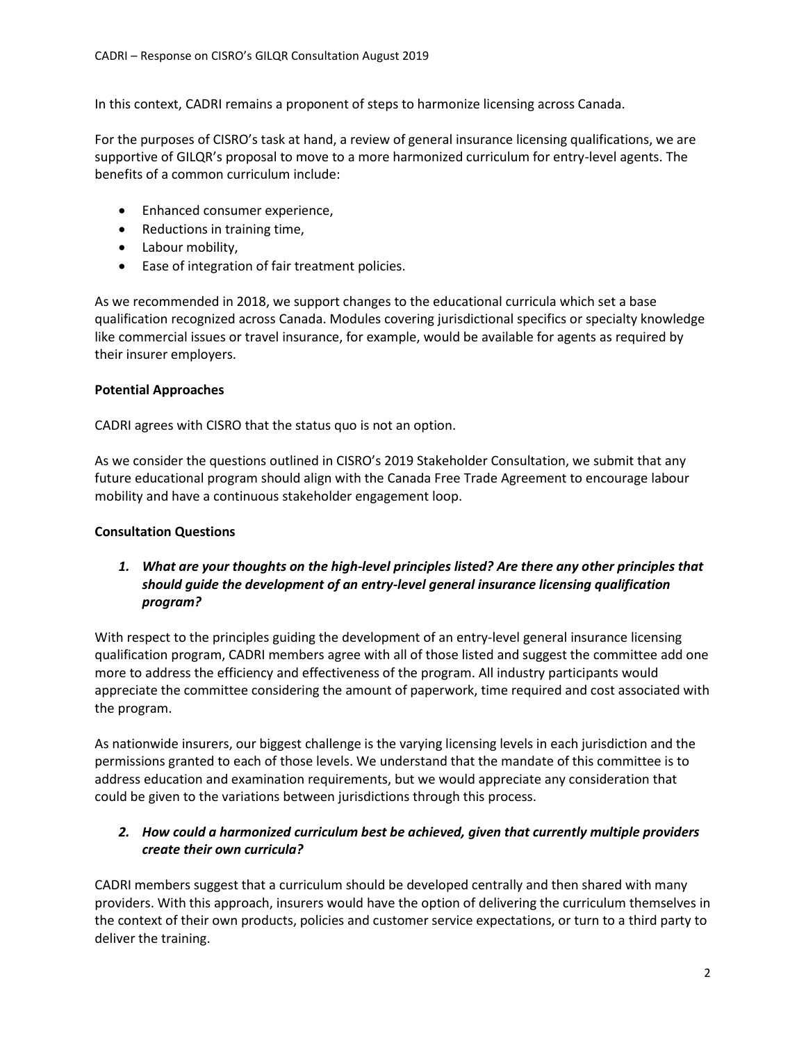In this context, CADRI remains a proponent of steps to harmonize licensing across Canada.

For the purposes of CISRO's task at hand, a review of general insurance licensing qualifications, we are supportive of GILQR's proposal to move to a more harmonized curriculum for entry-level agents. The benefits of a common curriculum include:

- Enhanced consumer experience,
- Reductions in training time,
- Labour mobility,
- Ease of integration of fair treatment policies.

As we recommended in 2018, we support changes to the educational curricula which set a base qualification recognized across Canada. Modules covering jurisdictional specifics or specialty knowledge like commercial issues or travel insurance, for example, would be available for agents as required by their insurer employers.

### **Potential Approaches**

CADRI agrees with CISRO that the status quo is not an option.

As we consider the questions outlined in CISRO's 2019 Stakeholder Consultation, we submit that any future educational program should align with the Canada Free Trade Agreement to encourage labour mobility and have a continuous stakeholder engagement loop.

### **Consultation Questions**

*1. What are your thoughts on the high-level principles listed? Are there any other principles that should guide the development of an entry-level general insurance licensing qualification program?*

With respect to the principles guiding the development of an entry-level general insurance licensing qualification program, CADRI members agree with all of those listed and suggest the committee add one more to address the efficiency and effectiveness of the program. All industry participants would appreciate the committee considering the amount of paperwork, time required and cost associated with the program.

As nationwide insurers, our biggest challenge is the varying licensing levels in each jurisdiction and the permissions granted to each of those levels. We understand that the mandate of this committee is to address education and examination requirements, but we would appreciate any consideration that could be given to the variations between jurisdictions through this process.

# *2. How could a harmonized curriculum best be achieved, given that currently multiple providers create their own curricula?*

CADRI members suggest that a curriculum should be developed centrally and then shared with many providers. With this approach, insurers would have the option of delivering the curriculum themselves in the context of their own products, policies and customer service expectations, or turn to a third party to deliver the training.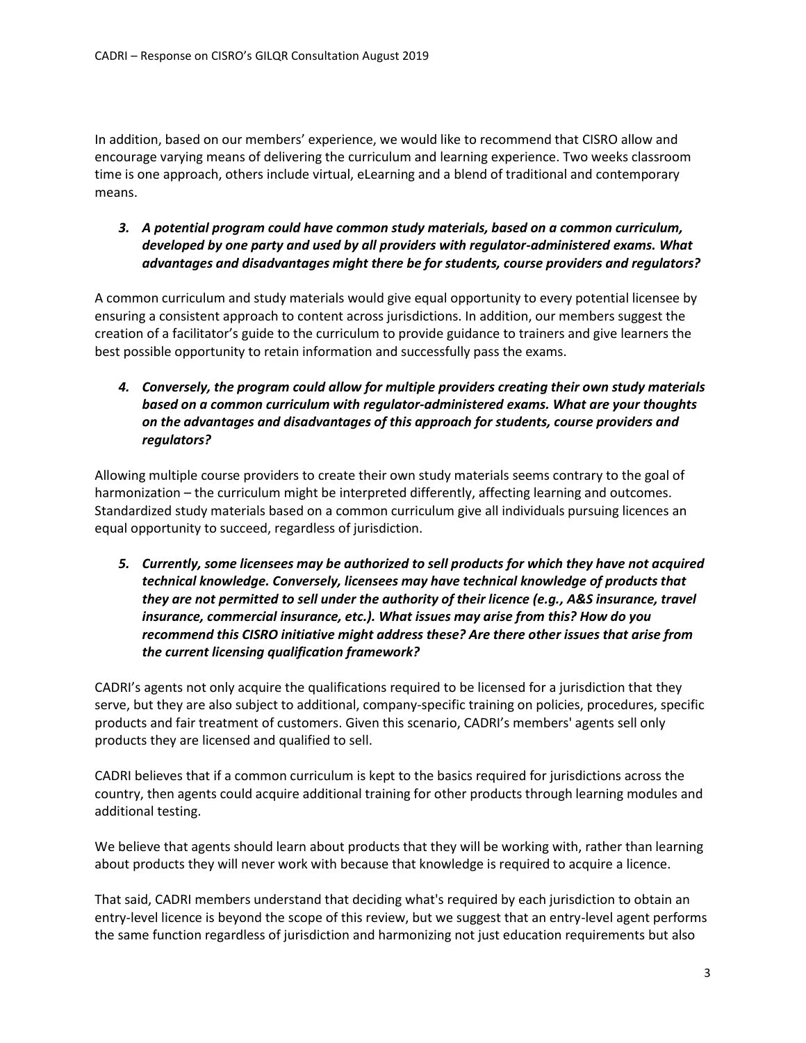In addition, based on our members' experience, we would like to recommend that CISRO allow and encourage varying means of delivering the curriculum and learning experience. Two weeks classroom time is one approach, others include virtual, eLearning and a blend of traditional and contemporary means.

*3. A potential program could have common study materials, based on a common curriculum, developed by one party and used by all providers with regulator-administered exams. What advantages and disadvantages might there be for students, course providers and regulators?*

A common curriculum and study materials would give equal opportunity to every potential licensee by ensuring a consistent approach to content across jurisdictions. In addition, our members suggest the creation of a facilitator's guide to the curriculum to provide guidance to trainers and give learners the best possible opportunity to retain information and successfully pass the exams.

*4. Conversely, the program could allow for multiple providers creating their own study materials based on a common curriculum with regulator-administered exams. What are your thoughts on the advantages and disadvantages of this approach for students, course providers and regulators?*

Allowing multiple course providers to create their own study materials seems contrary to the goal of harmonization – the curriculum might be interpreted differently, affecting learning and outcomes. Standardized study materials based on a common curriculum give all individuals pursuing licences an equal opportunity to succeed, regardless of jurisdiction.

*5. Currently, some licensees may be authorized to sell products for which they have not acquired technical knowledge. Conversely, licensees may have technical knowledge of products that they are not permitted to sell under the authority of their licence (e.g., A&S insurance, travel insurance, commercial insurance, etc.). What issues may arise from this? How do you recommend this CISRO initiative might address these? Are there other issues that arise from the current licensing qualification framework?*

CADRI's agents not only acquire the qualifications required to be licensed for a jurisdiction that they serve, but they are also subject to additional, company-specific training on policies, procedures, specific products and fair treatment of customers. Given this scenario, CADRI's members' agents sell only products they are licensed and qualified to sell.

CADRI believes that if a common curriculum is kept to the basics required for jurisdictions across the country, then agents could acquire additional training for other products through learning modules and additional testing.

We believe that agents should learn about products that they will be working with, rather than learning about products they will never work with because that knowledge is required to acquire a licence.

That said, CADRI members understand that deciding what's required by each jurisdiction to obtain an entry-level licence is beyond the scope of this review, but we suggest that an entry-level agent performs the same function regardless of jurisdiction and harmonizing not just education requirements but also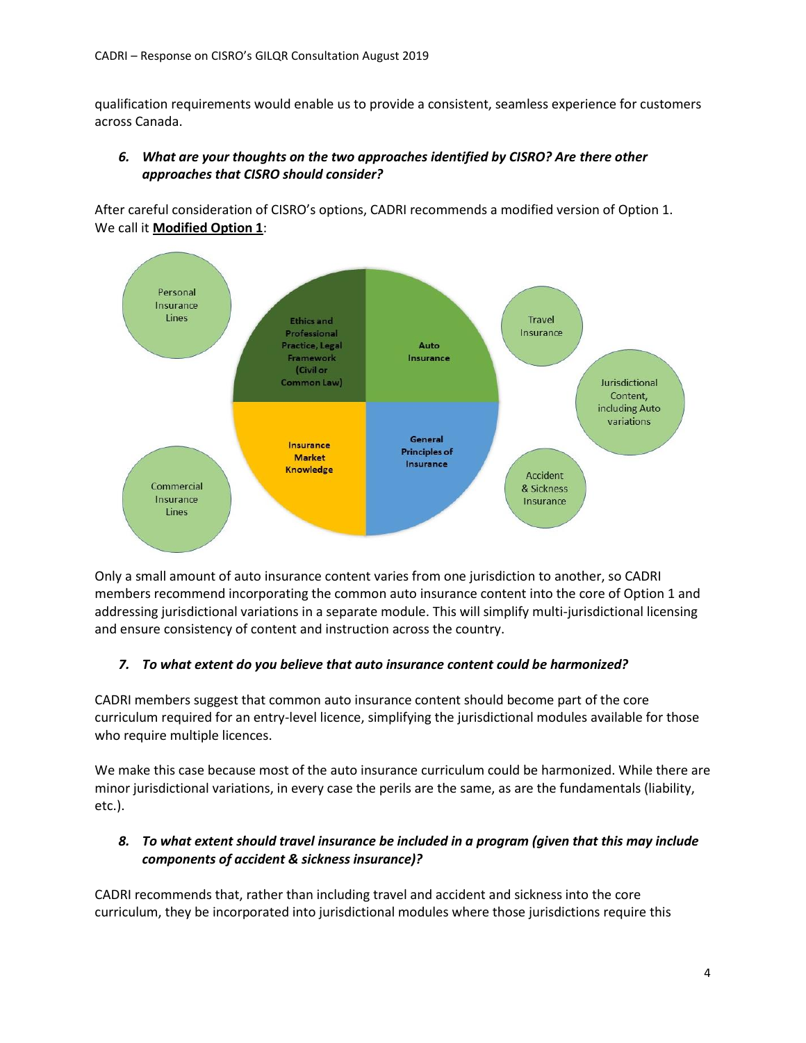qualification requirements would enable us to provide a consistent, seamless experience for customers across Canada.

## *6. What are your thoughts on the two approaches identified by CISRO? Are there other approaches that CISRO should consider?*

After careful consideration of CISRO's options, CADRI recommends a modified version of Option 1. We call it **Modified Option 1**:



Only a small amount of auto insurance content varies from one jurisdiction to another, so CADRI members recommend incorporating the common auto insurance content into the core of Option 1 and addressing jurisdictional variations in a separate module. This will simplify multi-jurisdictional licensing and ensure consistency of content and instruction across the country.

### *7. To what extent do you believe that auto insurance content could be harmonized?*

CADRI members suggest that common auto insurance content should become part of the core curriculum required for an entry-level licence, simplifying the jurisdictional modules available for those who require multiple licences.

We make this case because most of the auto insurance curriculum could be harmonized. While there are minor jurisdictional variations, in every case the perils are the same, as are the fundamentals (liability, etc.).

# *8. To what extent should travel insurance be included in a program (given that this may include components of accident & sickness insurance)?*

CADRI recommends that, rather than including travel and accident and sickness into the core curriculum, they be incorporated into jurisdictional modules where those jurisdictions require this